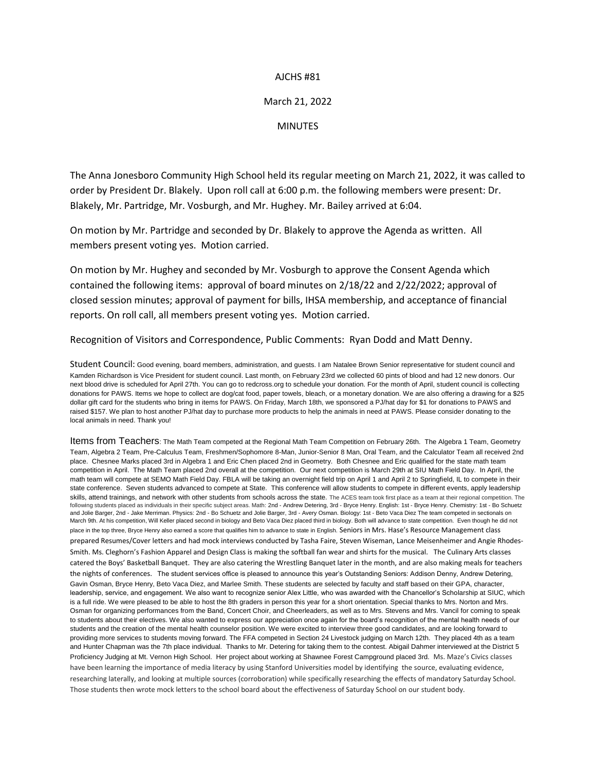## AJCHS #81

## March 21, 2022

## **MINUTES**

The Anna Jonesboro Community High School held its regular meeting on March 21, 2022, it was called to order by President Dr. Blakely. Upon roll call at 6:00 p.m. the following members were present: Dr. Blakely, Mr. Partridge, Mr. Vosburgh, and Mr. Hughey. Mr. Bailey arrived at 6:04.

On motion by Mr. Partridge and seconded by Dr. Blakely to approve the Agenda as written. All members present voting yes. Motion carried.

On motion by Mr. Hughey and seconded by Mr. Vosburgh to approve the Consent Agenda which contained the following items: approval of board minutes on 2/18/22 and 2/22/2022; approval of closed session minutes; approval of payment for bills, IHSA membership, and acceptance of financial reports. On roll call, all members present voting yes. Motion carried.

Recognition of Visitors and Correspondence, Public Comments: Ryan Dodd and Matt Denny.

Student Council: Good evening, board members, administration, and guests. I am Natalee Brown Senior representative for student council and Kamden Richardson is Vice President for student council. Last month, on February 23rd we collected 60 pints of blood and had 12 new donors. Our next blood drive is scheduled for April 27th. You can go to redcross.org to schedule your donation. For the month of April, student council is collecting donations for PAWS. Items we hope to collect are dog/cat food, paper towels, bleach, or a monetary donation. We are also offering a drawing for a \$25 dollar gift card for the students who bring in items for PAWS. On Friday, March 18th, we sponsored a PJ/hat day for \$1 for donations to PAWS and raised \$157. We plan to host another PJ/hat day to purchase more products to help the animals in need at PAWS. Please consider donating to the local animals in need. Thank you!

Items from Teachers: The Math Team competed at the Regional Math Team Competition on February 26th. The Algebra 1 Team, Geometry Team, Algebra 2 Team, Pre-Calculus Team, Freshmen/Sophomore 8-Man, Junior-Senior 8 Man, Oral Team, and the Calculator Team all received 2nd place. Chesnee Marks placed 3rd in Algebra 1 and Eric Chen placed 2nd in Geometry. Both Chesnee and Eric qualified for the state math team competition in April. The Math Team placed 2nd overall at the competition. Our next competition is March 29th at SIU Math Field Day. In April, the math team will compete at SEMO Math Field Day. FBLA will be taking an overnight field trip on April 1 and April 2 to Springfield, IL to compete in their state conference. Seven students advanced to compete at State. This conference will allow students to compete in different events, apply leadership skills, attend trainings, and network with other students from schools across the state. The ACES team took first place as a team at their regional competition. The following students placed as individuals in their specific subject areas. Math: 2nd - Andrew Detering, 3rd - Bryce Henry. English: 1st - Bryce Henry. Chemistry: 1st - Bo Schuetz and Jolie Barger, 2nd - Jake Merriman. Physics: 2nd - Bo Schuetz and Jolie Barger, 3rd - Avery Osman. Biology: 1st - Beto Vaca Diez The team competed in sectionals on March 9th. At his competition, Will Keller placed second in biology and Beto Vaca Diez placed third in biology. Both will advance to state competition. Even though he did not place in the top three, Bryce Henry also earned a score that qualifies him to advance to state in English. Seniors in Mrs. Hase's Resource Management class prepared Resumes/Cover letters and had mock interviews conducted by Tasha Faire, Steven Wiseman, Lance Meisenheimer and Angie Rhodes-Smith. Ms. Cleghorn's Fashion Apparel and Design Class is making the softball fan wear and shirts for the musical. The Culinary Arts classes catered the Boys' Basketball Banquet. They are also catering the Wrestling Banquet later in the month, and are also making meals for teachers the nights of conferences. The student services office is pleased to announce this year's Outstanding Seniors: Addison Denny, Andrew Detering, Gavin Osman, Bryce Henry, Beto Vaca Diez, and Marlee Smith. These students are selected by faculty and staff based on their GPA, character, leadership, service, and engagement. We also want to recognize senior Alex Little, who was awarded with the Chancellor's Scholarship at SIUC, which is a full ride. We were pleased to be able to host the 8th graders in person this year for a short orientation. Special thanks to Mrs. Norton and Mrs. Osman for organizing performances from the Band, Concert Choir, and Cheerleaders, as well as to Mrs. Stevens and Mrs. Vancil for coming to speak to students about their electives. We also wanted to express our appreciation once again for the board's recognition of the mental health needs of our students and the creation of the mental health counselor position. We were excited to interview three good candidates, and are looking forward to providing more services to students moving forward. The FFA competed in Section 24 Livestock judging on March 12th. They placed 4th as a team and Hunter Chapman was the 7th place individual. Thanks to Mr. Detering for taking them to the contest. Abigail Dahmer interviewed at the District 5 Proficiency Judging at Mt. Vernon High School. Her project about working at Shawnee Forest Campground placed 3rd. Ms. Maze's Civics classes have been learning the importance of media literacy by using Stanford Universities model by identifying the source, evaluating evidence, researching laterally, and looking at multiple sources (corroboration) while specifically researching the effects of mandatory Saturday School. Those students then wrote mock letters to the school board about the effectiveness of Saturday School on our student body.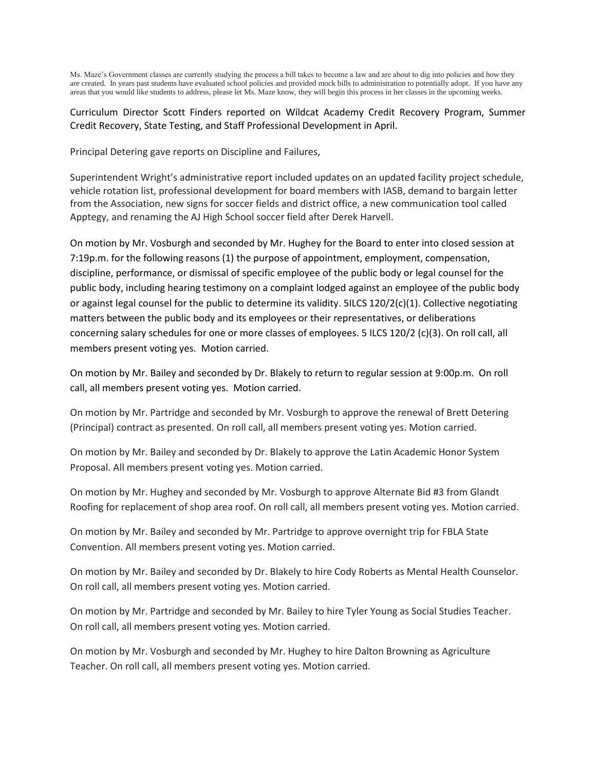Ms. Maze's Government classes are currently studying the process a bill takes to become a law and are about to dig into policies and how they are created. In years past students have evaluated school policies and provided mock bills to administration to potentially adopt. If you have any areas that you would like students to address, please let Ms. Maze know, they will begin this process in her classes in the upcoming weeks.

Curriculum Director Scott Finders reported on Wildcat Academy Credit Recovery Program, Summer Credit Recovery, State Testing, and Staff Professional Development in April.

Principal Detering gave reports on Discipline and Failures,

Superintendent Wright's administrative report included updates on an updated facility project schedule, vehicle rotation list, professional development for board members with IASB, demand to bargain letter from the Association, new signs for soccer fields and district office, a new communication tool called Apptegy, and renaming the AJ High School soccer field after Derek Harvell.

On motion by Mr. Vosburgh and seconded by Mr. Hughey for the Board to enter into closed session at 7:19p.m. for the following reasons (1) the purpose of appointment, employment, compensation, discipline, performance, or dismissal of specific employee of the public body or legal counsel for the public body, including hearing testimony on a complaint lodged against an employee of the public body or against legal counsel for the public to determine its validity. 5ILCS 120/2(c)(1). Collective negotiating matters between the public body and its employees or their representatives, or deliberations concerning salary schedules for one or more classes of employees. 5 ILCS 120/2 (c)(3). On roll call, all members present voting yes. Motion carried.

On motion by Mr. Bailey and seconded by Dr. Blakely to return to regular session at 9:00p.m. On roll call, all members present voting yes. Motion carried.

On motion by Mr. Partridge and seconded by Mr. Vosburgh to approve the renewal of Brett Detering (Principal) contract as presented. On roll call, all members present voting yes. Motion carried.

On motion by Mr. Bailey and seconded by Dr. Blakely to approve the Latin Academic Honor System Proposal. All members present voting yes. Motion carried.

On motion by Mr. Hughey and seconded by Mr. Vosburgh to approve Alternate Bid #3 from Glandt Roofing for replacement of shop area roof. On roll call, all members present voting yes. Motion carried.

On motion by Mr. Bailey and seconded by Mr. Partridge to approve overnight trip for FBLA State Convention. All members present voting yes. Motion carried.

On motion by Mr. Bailey and seconded by Dr. Blakely to hire Cody Roberts as Mental Health Counselor. On roll call, all members present voting yes. Motion carried.

On motion by Mr. Partridge and seconded by Mr. Bailey to hire Tyler Young as Social Studies Teacher. On roll call, all members present voting yes. Motion carried.

On motion by Mr. Vosburgh and seconded by Mr. Hughey to hire Dalton Browning as Agriculture Teacher. On roll call, all members present voting yes. Motion carried.